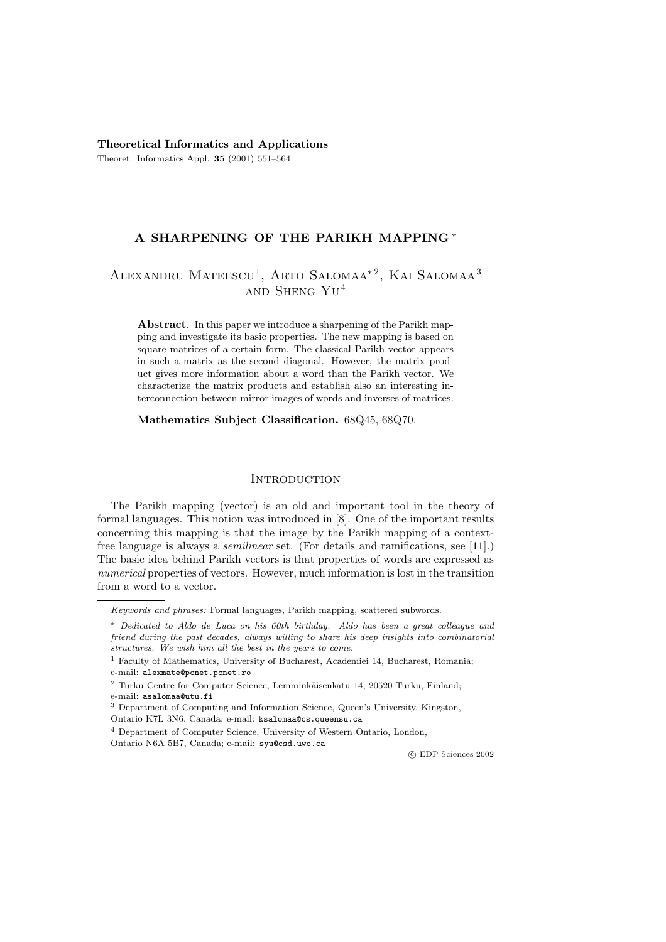**Theoretical Informatics and Applications** Theoret. Informatics Appl. **35** (2001) 551–564

# **A SHARPENING OF THE PARIKH MAPPING** ∗

# ALEXANDRU MATEESCU<sup>1</sup>, ARTO SALOMAA<sup>\*2</sup>, KAI SALOMAA<sup>3</sup> and Sheng Yu<sup>4</sup>

**Abstract**. In this paper we introduce a sharpening of the Parikh mapping and investigate its basic properties. The new mapping is based on square matrices of a certain form. The classical Parikh vector appears in such a matrix as the second diagonal. However, the matrix product gives more information about a word than the Parikh vector. We characterize the matrix products and establish also an interesting interconnection between mirror images of words and inverses of matrices.

**Mathematics Subject Classification.** 68Q45, 68Q70.

### **INTRODUCTION**

The Parikh mapping (vector) is an old and important tool in the theory of formal languages. This notion was introduced in [8]. One of the important results concerning this mapping is that the image by the Parikh mapping of a contextfree language is always a *semilinear* set. (For details and ramifications, see [11].) The basic idea behind Parikh vectors is that properties of words are expressed as *numerical* properties of vectors. However, much information is lost in the transition from a word to a vector.

c EDP Sciences 2002

*Keywords and phrases:* Formal languages, Parikh mapping, scattered subwords.

<sup>∗</sup> *Dedicated to Aldo de Luca on his 60th birthday. Aldo has been a great colleague and friend during the past decades, always willing to share his deep insights into combinatorial structures. We wish him all the best in the years to come.*

<sup>1</sup> Faculty of Mathematics, University of Bucharest, Academiei 14, Bucharest, Romania; e-mail: alexmate@pcnet.pcnet.ro

 $^2$  Turku Centre for Computer Science, Lemminkäisenkatu 14, 20520 Turku, Finland; e-mail: asalomaa@utu.fi

<sup>3</sup> Department of Computing and Information Science, Queen's University, Kingston,

Ontario K7L 3N6, Canada; e-mail: ksalomaa@cs.queensu.ca

<sup>4</sup> Department of Computer Science, University of Western Ontario, London, Ontario N6A 5B7, Canada; e-mail: syu@csd.uwo.ca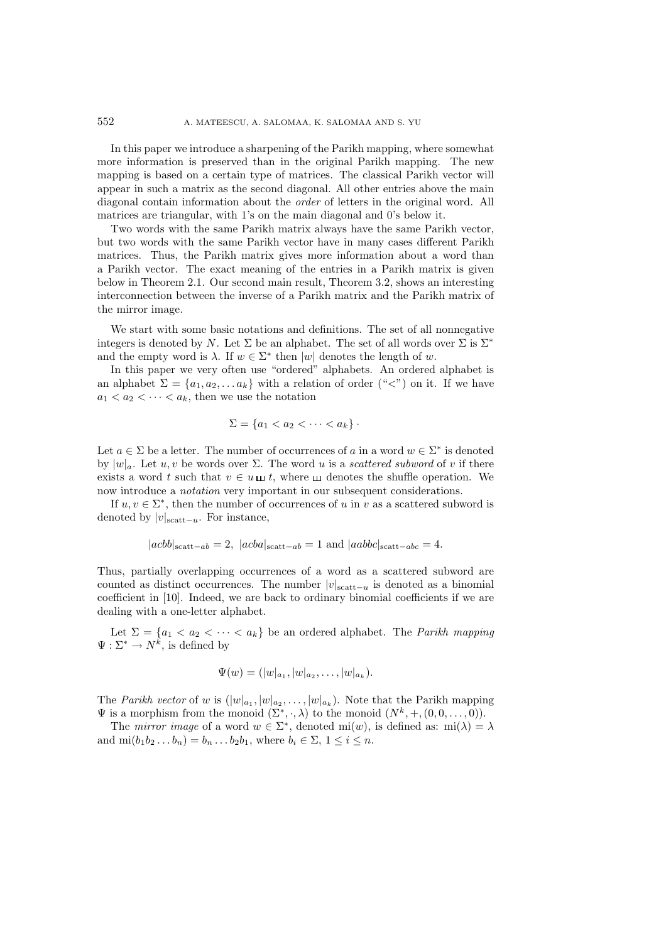In this paper we introduce a sharpening of the Parikh mapping, where somewhat more information is preserved than in the original Parikh mapping. The new mapping is based on a certain type of matrices. The classical Parikh vector will appear in such a matrix as the second diagonal. All other entries above the main diagonal contain information about the *order* of letters in the original word. All matrices are triangular, with 1's on the main diagonal and 0's below it.

Two words with the same Parikh matrix always have the same Parikh vector, but two words with the same Parikh vector have in many cases different Parikh matrices. Thus, the Parikh matrix gives more information about a word than a Parikh vector. The exact meaning of the entries in a Parikh matrix is given below in Theorem 2.1. Our second main result, Theorem 3.2, shows an interesting interconnection between the inverse of a Parikh matrix and the Parikh matrix of the mirror image.

We start with some basic notations and definitions. The set of all nonnegative integers is denoted by N. Let  $\Sigma$  be an alphabet. The set of all words over  $\Sigma$  is  $\Sigma^*$ and the empty word is  $\lambda$ . If  $w \in \Sigma^*$  then  $|w|$  denotes the length of w.

In this paper we very often use "ordered" alphabets. An ordered alphabet is an alphabet  $\Sigma = \{a_1, a_2, \ldots a_k\}$  with a relation of order (" $\langle$ ") on it. If we have  $a_1 < a_2 < \cdots < a_k$ , then we use the notation

$$
\Sigma = \{a_1 < a_2 < \cdots < a_k\} \cdot
$$

Let  $a \in \Sigma$  be a letter. The number of occurrences of a in a word  $w \in \Sigma^*$  is denoted by  $|w|_a$ . Let u, v be words over  $\Sigma$ . The word u is a *scattered subword* of v if there exists a word t such that  $v \in u \sqcup t$ , where  $u$  denotes the shuffle operation. We now introduce a *notation* very important in our subsequent considerations.

If  $u, v \in \Sigma^*$ , then the number of occurrences of u in v as a scattered subword is denoted by  $|v|_{\text{scatt}-u}$ . For instance,

$$
|acbb|_{\text{scatt}-ab} = 2, |acba|_{\text{scatt}-ab} = 1 \text{ and } |aabbc|_{\text{scatt}-abc} = 4.
$$

Thus, partially overlapping occurrences of a word as a scattered subword are counted as distinct occurrences. The number  $|v|_{\text{scatt}-u}$  is denoted as a binomial coefficient in [10]. Indeed, we are back to ordinary binomial coefficients if we are dealing with a one-letter alphabet.

Let  $\Sigma = \{a_1 < a_2 < \cdots < a_k\}$  be an ordered alphabet. The *Parikh mapping*  $\Psi: \Sigma^* \to N^k$ , is defined by

$$
\Psi(w) = (|w|_{a_1}, |w|_{a_2}, \ldots, |w|_{a_k}).
$$

The *Parikh vector* of w is  $(|w|_{a_1}, |w|_{a_2}, \ldots, |w|_{a_k})$ . Note that the Parikh mapping  $\Psi$  is a morphism from the monoid  $(\Sigma^*, \cdot, \lambda)$  to the monoid  $(N^k, +, (0, 0, \ldots, 0)).$ 

The *mirror image* of a word  $w \in \Sigma^*$ , denoted mi $(w)$ , is defined as: mi $(\lambda) = \lambda$ and  $\text{mi}(b_1b_2 \ldots b_n) = b_n \ldots b_2b_1$ , where  $b_i \in \Sigma$ ,  $1 \leq i \leq n$ .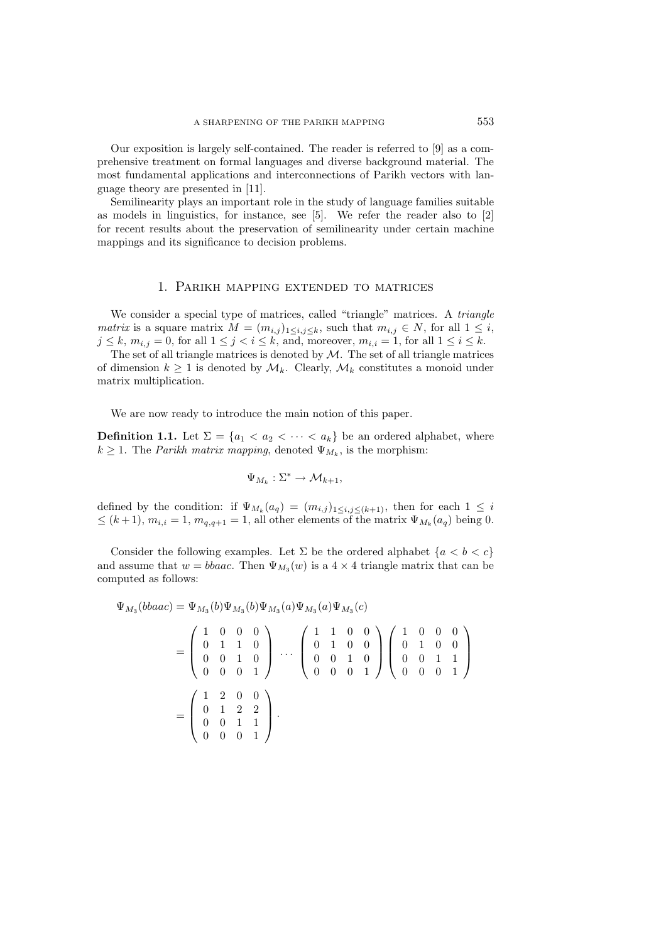Our exposition is largely self-contained. The reader is referred to [9] as a comprehensive treatment on formal languages and diverse background material. The most fundamental applications and interconnections of Parikh vectors with language theory are presented in [11].

Semilinearity plays an important role in the study of language families suitable as models in linguistics, for instance, see [5]. We refer the reader also to [2] for recent results about the preservation of semilinearity under certain machine mappings and its significance to decision problems.

#### 1. Parikh mapping extended to matrices

We consider a special type of matrices, called "triangle" matrices. A *triangle matrix* is a square matrix  $M = (m_{i,j})_{1 \leq i,j \leq k}$ , such that  $m_{i,j} \in N$ , for all  $1 \leq i$ ,  $j \leq k$ ,  $m_{i,j} = 0$ , for all  $1 \leq j < i \leq k$ , and, moreover,  $m_{i,i} = 1$ , for all  $1 \leq i \leq k$ .

The set of all triangle matrices is denoted by  $M$ . The set of all triangle matrices of dimension  $k \geq 1$  is denoted by  $\mathcal{M}_k$ . Clearly,  $\mathcal{M}_k$  constitutes a monoid under matrix multiplication.

We are now ready to introduce the main notion of this paper.

**Definition 1.1.** Let  $\Sigma = \{a_1 < a_2 < \cdots < a_k\}$  be an ordered alphabet, where  $k \geq 1$ . The *Parikh matrix mapping*, denoted  $\Psi_{M_k}$ , is the morphism:

$$
\Psi_{M_k} : \Sigma^* \to \mathcal{M}_{k+1},
$$

defined by the condition: if  $\Psi_{M_k}(a_q)=(m_{i,j})_{1\leq i,j\leq (k+1)}$ , then for each  $1\leq i$  $\leq$   $(k+1)$ ,  $m_{i,i} = 1$ ,  $m_{q,q+1} = 1$ , all other elements of the matrix  $\Psi_{M_k}(a_q)$  being 0.

Consider the following examples. Let  $\Sigma$  be the ordered alphabet  $\{a < b < c\}$ and assume that  $w = bbaac$ . Then  $\Psi_{M_3}(w)$  is a  $4 \times 4$  triangle matrix that can be computed as follows:

$$
\Psi_{M_3}(bbac) = \Psi_{M_3}(b)\Psi_{M_3}(b)\Psi_{M_3}(a)\Psi_{M_3}(a)\Psi_{M_3}(c)
$$
\n
$$
= \begin{pmatrix}\n1 & 0 & 0 & 0 \\
0 & 1 & 1 & 0 \\
0 & 0 & 1 & 0 \\
0 & 0 & 0 & 1\n\end{pmatrix}\n\cdots\n\begin{pmatrix}\n1 & 1 & 0 & 0 \\
0 & 1 & 0 & 0 \\
0 & 0 & 1 & 0 \\
0 & 0 & 0 & 1\n\end{pmatrix}\n\begin{pmatrix}\n1 & 0 & 0 & 0 \\
0 & 1 & 0 & 0 \\
0 & 0 & 1 & 1 \\
0 & 0 & 0 & 1\n\end{pmatrix}
$$
\n
$$
= \begin{pmatrix}\n1 & 2 & 0 & 0 \\
0 & 1 & 2 & 2 \\
0 & 0 & 1 & 1 \\
0 & 0 & 0 & 1\n\end{pmatrix}.
$$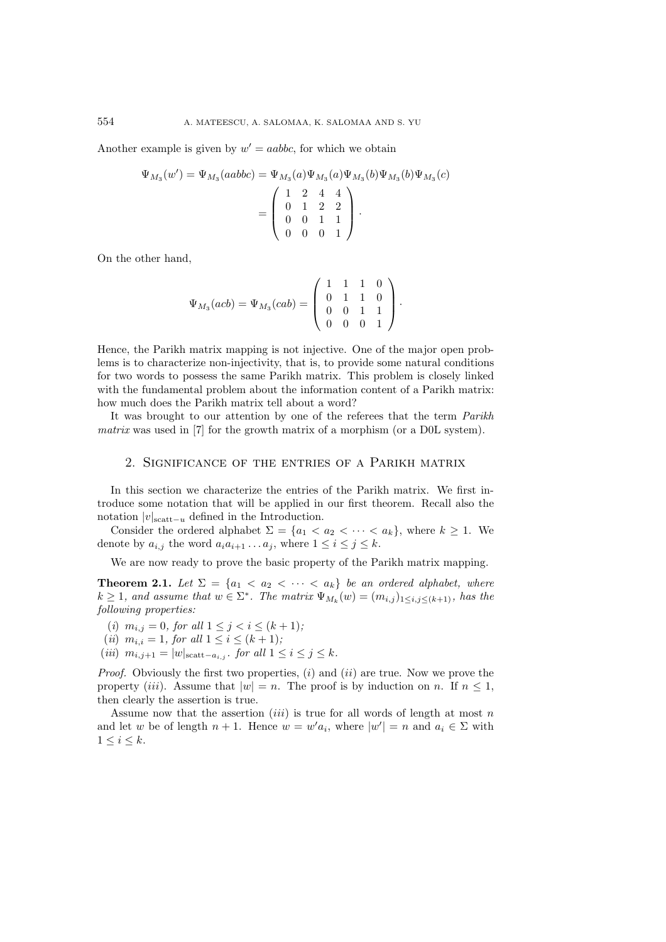Another example is given by  $w' = aabbc$ , for which we obtain

$$
\Psi_{M_3}(w') = \Psi_{M_3}(aabbc) = \Psi_{M_3}(a)\Psi_{M_3}(a)\Psi_{M_3}(b)\Psi_{M_3}(b)\Psi_{M_3}(c)
$$
  
= 
$$
\begin{pmatrix} 1 & 2 & 4 & 4 \\ 0 & 1 & 2 & 2 \\ 0 & 0 & 1 & 1 \\ 0 & 0 & 0 & 1 \end{pmatrix}.
$$

On the other hand,

$$
\Psi_{M_3}(acb) = \Psi_{M_3}(cab) = \begin{pmatrix} 1 & 1 & 1 & 0 \\ 0 & 1 & 1 & 0 \\ 0 & 0 & 1 & 1 \\ 0 & 0 & 0 & 1 \end{pmatrix}.
$$

Hence, the Parikh matrix mapping is not injective. One of the major open problems is to characterize non-injectivity, that is, to provide some natural conditions for two words to possess the same Parikh matrix. This problem is closely linked with the fundamental problem about the information content of a Parikh matrix: how much does the Parikh matrix tell about a word?

It was brought to our attention by one of the referees that the term *Parikh matrix* was used in [7] for the growth matrix of a morphism (or a D0L system).

### 2. Significance of the entries of a Parikh matrix

In this section we characterize the entries of the Parikh matrix. We first introduce some notation that will be applied in our first theorem. Recall also the notation  $|v|_{\text{scatt}-u}$  defined in the Introduction.

Consider the ordered alphabet  $\Sigma = \{a_1 < a_2 < \cdots < a_k\}$ , where  $k \geq 1$ . We denote by  $a_{i,j}$  the word  $a_i a_{i+1} \ldots a_j$ , where  $1 \leq i \leq j \leq k$ .

We are now ready to prove the basic property of the Parikh matrix mapping.

**Theorem 2.1.** *Let*  $\Sigma = \{a_1 < a_2 < \cdots < a_k\}$  *be an ordered alphabet, where*  $k \geq 1$ *, and assume that*  $w \in \Sigma^*$ *. The matrix*  $\Psi_{M_k}(w)=(m_{i,j})_{1 \leq i,j \leq (k+1)}$ *, has the following properties:*

- (*i*)  $m_{i,j} = 0$ *, for all*  $1 \leq j < i \leq (k+1)$ *;*
- (*ii*)  $m_{i,i} = 1$ *, for all*  $1 \leq i \leq (k+1)$ *;*
- $(iii)$   $m_{i,j+1} = |w|_{\text{scatt}-a_{i,j}}$ , for all  $1 \leq i \leq j \leq k$ .

*Proof.* Obviously the first two properties, (i) and (ii) are true. Now we prove the property (iii). Assume that  $|w| = n$ . The proof is by induction on n. If  $n \leq 1$ , then clearly the assertion is true.

Assume now that the assertion  $(iii)$  is true for all words of length at most n and let w be of length  $n + 1$ . Hence  $w = w' a_i$ , where  $|w'| = n$  and  $a_i \in \Sigma$  with  $1 \leq i \leq k$ .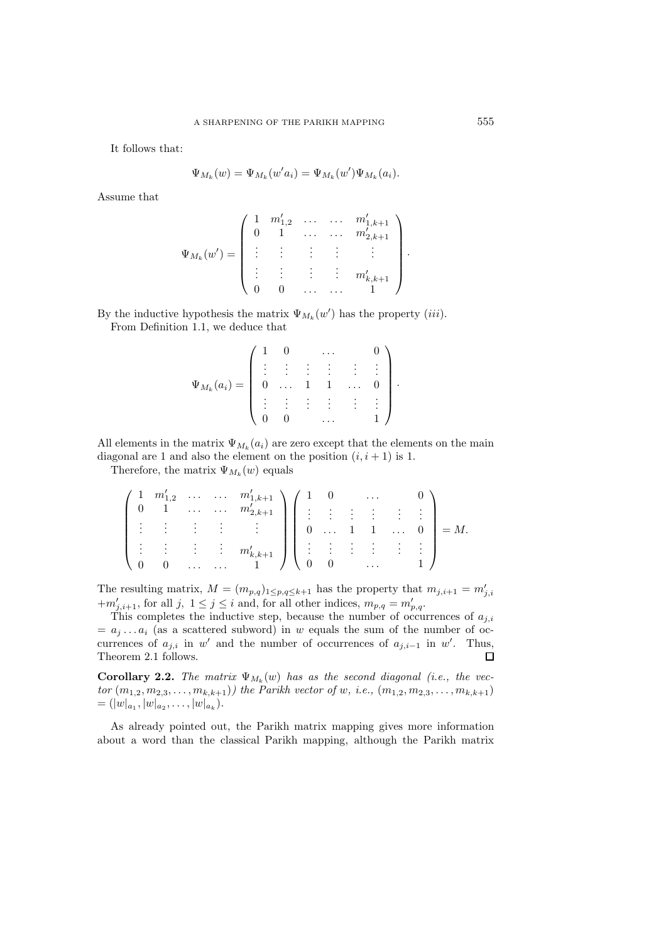It follows that:

$$
\Psi_{M_k}(w) = \Psi_{M_k}(w' a_i) = \Psi_{M_k}(w') \Psi_{M_k}(a_i).
$$

Assume that

$$
\Psi_{M_k}(w') = \begin{pmatrix} 1 & m'_{1,2} & \dots & \dots & m'_{1,k+1} \\ 0 & 1 & \dots & \dots & m'_{2,k+1} \\ \vdots & \vdots & \vdots & \vdots & \vdots \\ 0 & 0 & \dots & \dots & 1 \end{pmatrix}.
$$

By the inductive hypothesis the matrix  $\Psi_{M_k}(w')$  has the property *(iii)*. From Definition 1.1, we deduce that

$$
\Psi_{M_k}(a_i) = \begin{pmatrix} 1 & 0 & \dots & 0 \\ \vdots & \vdots & \vdots & \vdots & \vdots \\ 0 & \dots & 1 & 1 & \dots & 0 \\ \vdots & \vdots & \vdots & \vdots & \vdots & \vdots \\ 0 & 0 & \dots & 1 \end{pmatrix}.
$$

All elements in the matrix  $\Psi_{M_k}(a_i)$  are zero except that the elements on the main diagonal are 1 and also the element on the position  $(i, i + 1)$  is 1.

Therefore, the matrix  $\Psi_{M_k}(w)$  equals

$$
\begin{pmatrix} 1 & m'_{1,2} & \cdots & \cdots & m'_{1,k+1} \\ 0 & 1 & \cdots & \cdots & m'_{2,k+1} \\ \vdots & \vdots & \vdots & \vdots & \vdots \\ 0 & 0 & \cdots & \cdots & 1 \end{pmatrix} \begin{pmatrix} 1 & 0 & \cdots & 0 \\ \vdots & \vdots & \vdots & \vdots & \vdots \\ 0 & \cdots & 1 & 1 & \cdots & 0 \\ \vdots & \vdots & \vdots & \vdots & \vdots & \vdots \\ 0 & 0 & \cdots & 1 & 1 \end{pmatrix} = M.
$$

The resulting matrix,  $M = (m_{p,q})_{1 \leq p,q \leq k+1}$  has the property that  $m_{j,i+1} = m'_{j,i}$ <br>+ $m'_{j,i+1}$ , for all j,  $1 \leq j \leq i$  and, for all other indices,  $m_{p,q} = m'_{p,q}$ .

This completes the inductive step, because the number of occurrences of  $a_{j,i}$  $a_j \ldots a_i$  (as a scattered subword) in w equals the sum of the number of occurrences of  $a_{j,i}$  in w' and the number of occurrences of  $a_{j,i-1}$  in w'. Thus, Theorem 2.1 follows.  $\Box$ 

**Corollary 2.2.** *The matrix*  $\Psi_{M_k}(w)$  *has as the second diagonal (i.e., the vector*  $(m_{1,2}, m_{2,3}, \ldots, m_{k,k+1})$ *)* the Parikh vector of w, i.e.,  $(m_{1,2}, m_{2,3}, \ldots, m_{k,k+1})$  $= (|w|_{a_1}, |w|_{a_2}, \ldots, |w|_{a_k}).$ 

As already pointed out, the Parikh matrix mapping gives more information about a word than the classical Parikh mapping, although the Parikh matrix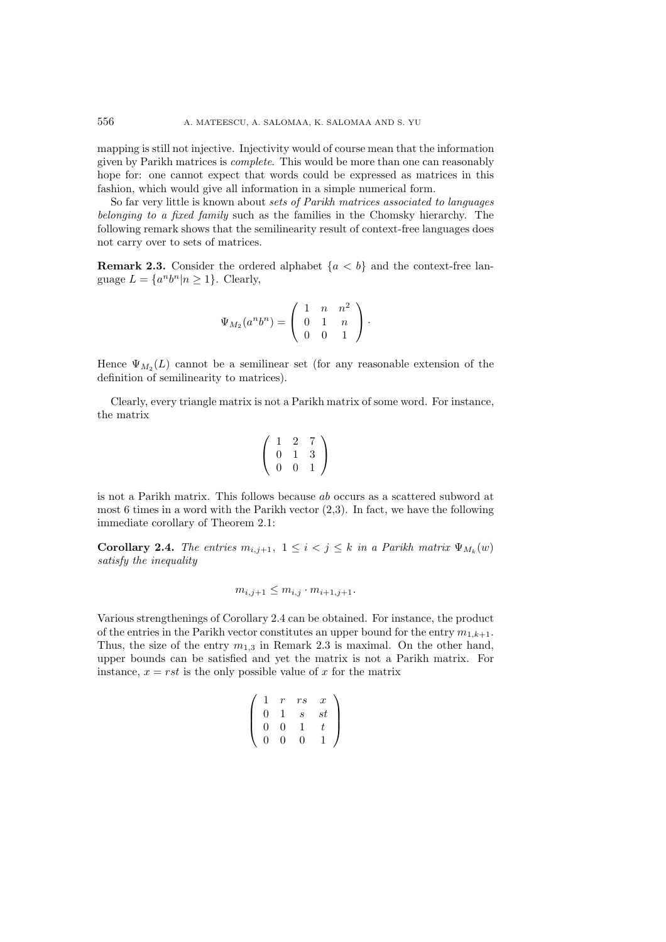mapping is still not injective. Injectivity would of course mean that the information given by Parikh matrices is *complete*. This would be more than one can reasonably hope for: one cannot expect that words could be expressed as matrices in this fashion, which would give all information in a simple numerical form.

So far very little is known about *sets of Parikh matrices associated to languages belonging to a fixed family* such as the families in the Chomsky hierarchy. The following remark shows that the semilinearity result of context-free languages does not carry over to sets of matrices.

**Remark 2.3.** Consider the ordered alphabet  ${a < b}$  and the context-free language  $L = \{a^n b^n | n \ge 1\}$ . Clearly,

$$
\Psi_{M_2}(a^n b^n) = \left(\begin{array}{ccc} 1 & n & n^2 \\ 0 & 1 & n \\ 0 & 0 & 1 \end{array}\right).
$$

Hence  $\Psi_{M_2}(L)$  cannot be a semilinear set (for any reasonable extension of the definition of semilinearity to matrices).

Clearly, every triangle matrix is not a Parikh matrix of some word. For instance, the matrix

$$
\left(\begin{array}{rrr} 1 & 2 & 7 \\ 0 & 1 & 3 \\ 0 & 0 & 1 \end{array}\right)
$$

is not a Parikh matrix. This follows because ab occurs as a scattered subword at most 6 times in a word with the Parikh vector (2,3). In fact, we have the following immediate corollary of Theorem 2.1:

**Corollary 2.4.** *The entries*  $m_{i,j+1}$ ,  $1 \leq i < j \leq k$  *in a Parikh matrix*  $\Psi_{M_k}(w)$ *satisfy the inequality*

$$
m_{i,j+1} \leq m_{i,j} \cdot m_{i+1,j+1}.
$$

Various strengthenings of Corollary 2.4 can be obtained. For instance, the product of the entries in the Parikh vector constitutes an upper bound for the entry  $m_{1,k+1}$ . Thus, the size of the entry  $m_{1,3}$  in Remark 2.3 is maximal. On the other hand, upper bounds can be satisfied and yet the matrix is not a Parikh matrix. For instance,  $x = rst$  is the only possible value of x for the matrix

$$
\left(\begin{array}{cccc} 1 & r & rs & x \\ 0 & 1 & s & st \\ 0 & 0 & 1 & t \\ 0 & 0 & 0 & 1 \end{array}\right)
$$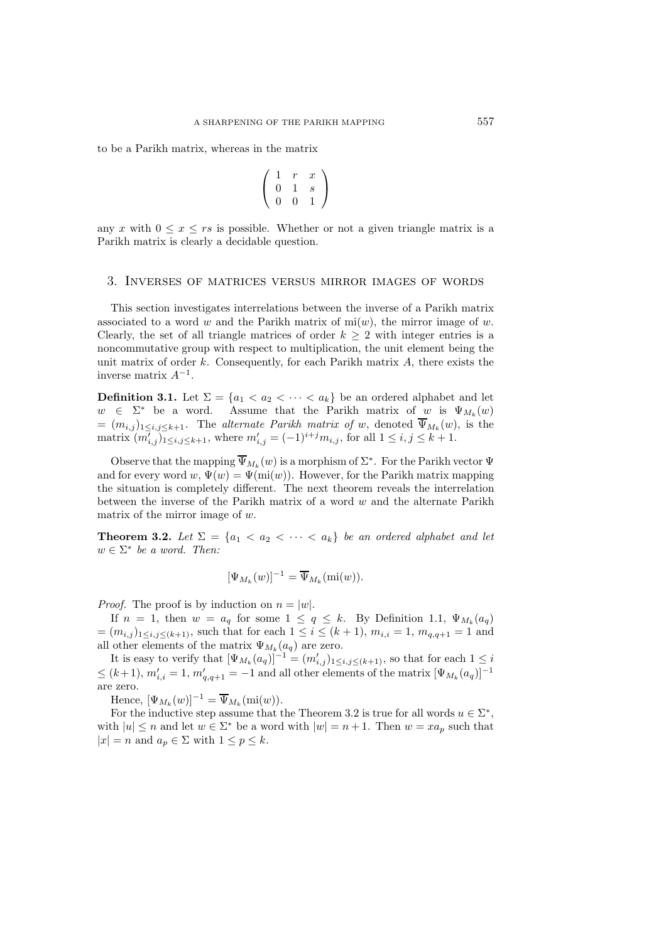to be a Parikh matrix, whereas in the matrix

$$
\left(\begin{array}{ccc} 1 & r & x \\ 0 & 1 & s \\ 0 & 0 & 1 \end{array}\right)
$$

any x with  $0 \leq x \leq rs$  is possible. Whether or not a given triangle matrix is a Parikh matrix is clearly a decidable question.

#### 3. Inverses of matrices versus mirror images of words

This section investigates interrelations between the inverse of a Parikh matrix associated to a word w and the Parikh matrix of  $m(w)$ , the mirror image of w. Clearly, the set of all triangle matrices of order  $k \geq 2$  with integer entries is a noncommutative group with respect to multiplication, the unit element being the unit matrix of order  $k$ . Consequently, for each Parikh matrix  $A$ , there exists the inverse matrix  $A^{-1}$ .

**Definition 3.1.** Let  $\Sigma = \{a_1 < a_2 < \cdots < a_k\}$  be an ordered alphabet and let  $w \in \Sigma^*$  be a word. Assume that the Parikh matrix of w is  $\Psi_{M_k}(w)$  $=(m_{i,j})_{1\leq i,j\leq k+1}$ . The *alternate Parikh matrix of* w, denoted  $\Psi_{M_k}(w)$ , is the matrix  $(m'_{i,j})_{1 \leq i,j \leq k+1}$ , where  $m'_{i,j} = (-1)^{i+j} m_{i,j}$ , for all  $1 \leq i,j \leq k+1$ .

Observe that the mapping  $\overline{\Psi}_{M_k}(w)$  is a morphism of  $\Sigma^*$ . For the Parikh vector  $\Psi$ and for every word  $w, \Psi(w) = \Psi(\text{mi}(w))$ . However, for the Parikh matrix mapping the situation is completely different. The next theorem reveals the interrelation between the inverse of the Parikh matrix of a word w and the alternate Parikh matrix of the mirror image of w.

**Theorem 3.2.** *Let*  $\Sigma = \{a_1 < a_2 < \cdots < a_k\}$  *be an ordered alphabet and let*  $w \in \Sigma^*$  *be a word. Then:* 

$$
[\Psi_{M_k}(w)]^{-1} = \overline{\Psi}_{M_k}(\text{mi}(w)).
$$

*Proof.* The proof is by induction on  $n = |w|$ .

If  $n = 1$ , then  $w = a_q$  for some  $1 \le q \le k$ . By Definition 1.1,  $\Psi_{M_k}(a_q)$  $=(m_{i,j})_{1\leq i,j\leq (k+1)}$ , such that for each  $1\leq i\leq (k+1)$ ,  $m_{i,i}=1$ ,  $m_{q,q+1}=1$  and all other elements of the matrix  $\Psi_{M_k}(a_q)$  are zero.

It is easy to verify that  $[\Psi_{M_k}(a_q)]^{-1} = (m'_{i,j})_{1 \leq i,j \leq (k+1)}$ , so that for each  $1 \leq i$  $\leq (k+1), m'_{i,i} = 1, m'_{q,q+1} = -1$  and all other elements of the matrix  $[\Psi_{M_k}(a_q)]^{-1}$ are zero.

Hence,  $[\Psi_{M_k}(w)]^{-1} = \overline{\Psi}_{M_k}(\text{mi}(w)).$ 

For the inductive step assume that the Theorem 3.2 is true for all words  $u \in \Sigma^*$ , with  $|u| \leq n$  and let  $w \in \Sigma^*$  be a word with  $|w| = n + 1$ . Then  $w = xa_p$  such that  $|x| = n$  and  $a_p \in \Sigma$  with  $1 \leq p \leq k$ .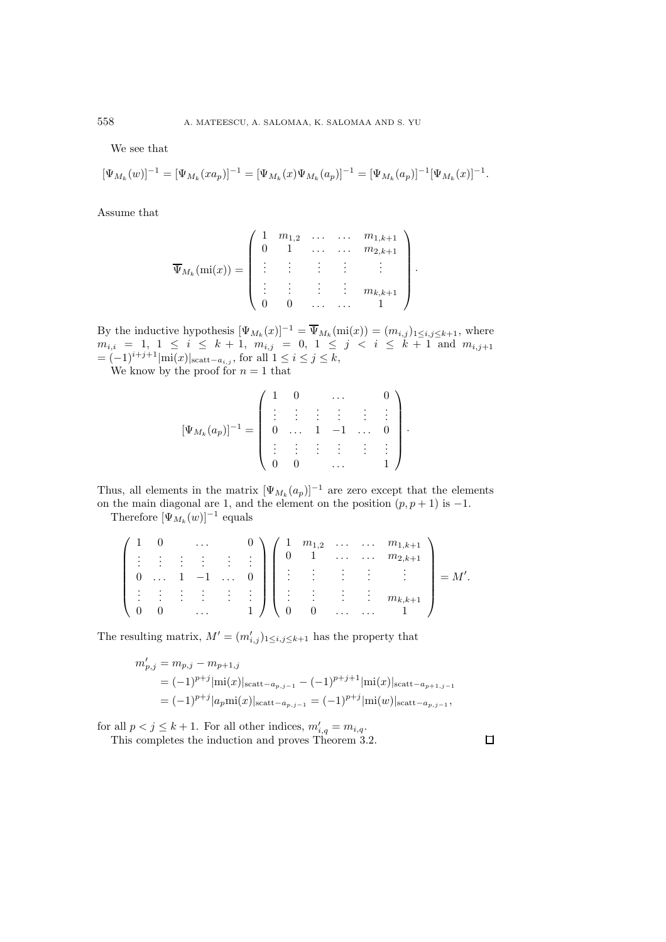We see that

$$
[\Psi_{M_k}(w)]^{-1} = [\Psi_{M_k}(xa_p)]^{-1} = [\Psi_{M_k}(x)\Psi_{M_k}(a_p)]^{-1} = [\Psi_{M_k}(a_p)]^{-1}[\Psi_{M_k}(x)]^{-1}.
$$

Assume that

$$
\overline{\Psi}_{M_k}(\text{mi}(x)) = \left( \begin{array}{cccccc} 1 & m_{1,2} & \dots & \dots & m_{1,k+1} \\ 0 & 1 & \dots & \dots & m_{2,k+1} \\ \vdots & \vdots & \vdots & \vdots & \vdots \\ 0 & 0 & \dots & \dots & 1 \end{array} \right)
$$

·

·

By the inductive hypothesis  $[\Psi_{M_k}(x)]^{-1} = \overline{\Psi}_{M_k}(\text{mi}(x)) = (m_{i,j})_{1 \leq i,j \leq k+1}$ , where  $m_{i,i}$  = 1, 1  $\leq i \leq k+1$ ,  $m_{i,j}$  = 0, 1  $\leq j \leq i \leq k+1$  and  $m_{i,j+1}$  $= (-1)^{i+j+1}|\text{mi}(x)|_{\text{scatt}-a_{i,j}}$ , for all  $1 ≤ i ≤ j ≤ k$ ,

We know by the proof for  $n = 1$  that

$$
[\Psi_{M_k}(a_p)]^{-1} = \left( \begin{array}{ccccc} 1 & 0 & \cdots & 0 \\ \vdots & \vdots & \vdots & \vdots & \vdots \\ 0 & \cdots & 1 & -1 & \cdots & 0 \\ \vdots & \vdots & \vdots & \vdots & \vdots & \vdots \\ 0 & 0 & \cdots & 1 & 1 \end{array} \right)
$$

Thus, all elements in the matrix  $[\Psi_{M_k}(a_p)]^{-1}$  are zero except that the elements on the main diagonal are 1, and the element on the position  $(p, p + 1)$  is  $-1$ .

Therefore  $[\Psi_{M_k}(w)]^{-1}$  equals

|  |                                   |                              | $\cdots$                             |                               |                                         | $\sqrt{1}$ |                            |                            |          |                     | $m_{1,2}$ $m_{1,k+1}$ |  |
|--|-----------------------------------|------------------------------|--------------------------------------|-------------------------------|-----------------------------------------|------------|----------------------------|----------------------------|----------|---------------------|-----------------------|--|
|  | ٠<br>٠                            | $\sim$ 100 $\pm$             | $\sim$ $\sim$                        |                               | $\ddot{\cdot}$                          |            |                            |                            | $\cdots$ | $\cdots$            | $m_{2,k+1}$           |  |
|  | $\sim$ $\sim$<br>$\sim 1.4\, \mu$ |                              | <b>Contract Contract</b>             | $\cdots$                      |                                         |            | $\bullet$<br>$\sim$ $\sim$ | $\sim$ $\sim$<br>an Bandin | ٠        | $\sim$ 1.           | $\sim 100$            |  |
|  | ٠<br>$\bullet$<br>$\sim$ $\sim$   | $\cdot$<br><b>Contractor</b> | $\bullet$<br>$\bullet$<br>$\sim 100$ | ٠<br><b>Contract Contract</b> | $\bullet$<br>$\bullet$<br>and the state |            | $\sim$ 1.                  | 2014 - Ho                  | ٠        | $\bullet$<br>$\sim$ | $m_{k,k}$             |  |
|  |                                   |                              | .                                    |                               |                                         |            |                            |                            | $\cdots$ | .                   |                       |  |

The resulting matrix,  $M' = (m'_{i,j})_{1 \leq i,j \leq k+1}$  has the property that

$$
m'_{p,j} = m_{p,j} - m_{p+1,j}
$$
  
=  $(-1)^{p+j} |\text{mi}(x)|_{\text{scatt}-a_{p,j-1}} - (-1)^{p+j+1} |\text{mi}(x)|_{\text{scatt}-a_{p+1,j-1}}$   
=  $(-1)^{p+j} |a_p \text{mi}(x)|_{\text{scatt}-a_{p,j-1}} = (-1)^{p+j} |\text{mi}(w)|_{\text{scatt}-a_{p,j-1}},$ 

for all  $p < j \leq k + 1$ . For all other indices,  $m'_{i,q} = m_{i,q}$ .

This completes the induction and proves Theorem 3.2.

 $\Box$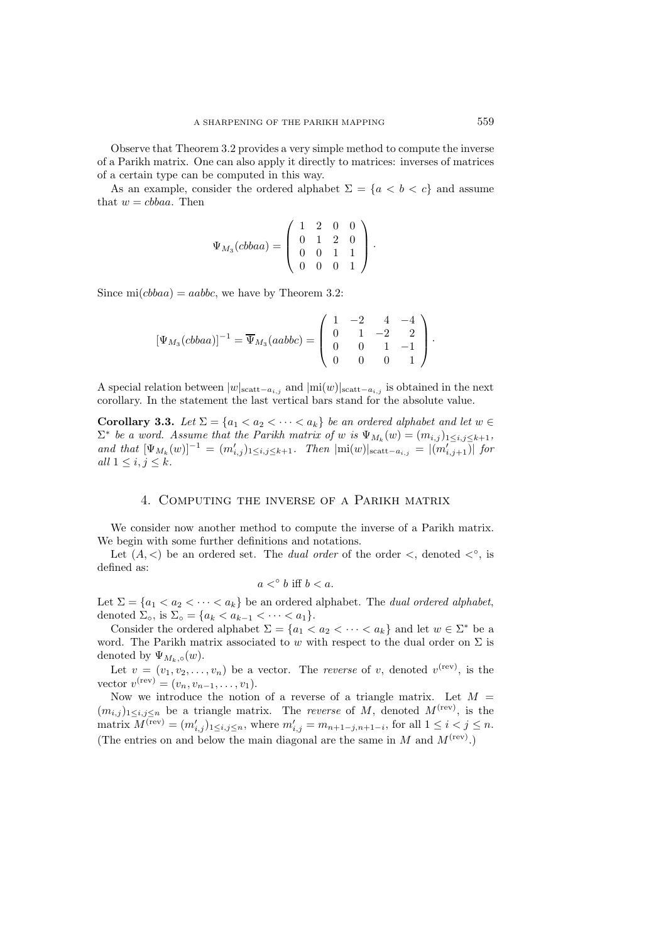Observe that Theorem 3.2 provides a very simple method to compute the inverse of a Parikh matrix. One can also apply it directly to matrices: inverses of matrices of a certain type can be computed in this way.

As an example, consider the ordered alphabet  $\Sigma = \{a < b < c\}$  and assume that  $w = cbbaa$ . Then

$$
\Psi_{M_3}(cbbaa) = \left(\begin{array}{cccc} 1 & 2 & 0 & 0 \\ 0 & 1 & 2 & 0 \\ 0 & 0 & 1 & 1 \\ 0 & 0 & 0 & 1 \end{array}\right).
$$

Since mi $(cbbaa) = aabbc$ , we have by Theorem 3.2:

$$
[\Psi_{M_3}(cbbaa)]^{-1} = \overline{\Psi}_{M_3}(aabbc) = \begin{pmatrix} 1 & -2 & 4 & -4 \ 0 & 1 & -2 & 2 \ 0 & 0 & 1 & -1 \ 0 & 0 & 0 & 1 \end{pmatrix}.
$$

A special relation between  $|w|_{\text{scatt}-a_{i,j}}$  and  $|\text{mi}(w)|_{\text{scatt}-a_{i,j}}$  is obtained in the next corollary. In the statement the last vertical bars stand for the absolute value.

**Corollary 3.3.** *Let*  $\Sigma = \{a_1 < a_2 < \cdots < a_k\}$  *be an ordered alphabet and let*  $w \in \Sigma$  $\Sigma^*$  *be a word. Assume that the Parikh matrix of w is*  $\Psi_{M_k}(w)=(m_{i,j})_{1\leq i,j\leq k+1}$ , *and that*  $[\Psi_{M_k}(w)]^{-1} = (m'_{i,j})_{1 \le i,j \le k+1}$ *. Then*  $|m(w)|_{\text{scatt}-a_{i,j}} = |(m'_{i,j+1})|$  for *all*  $1 \leq i, j \leq k$ .

## 4. Computing the inverse of a Parikh matrix

We consider now another method to compute the inverse of a Parikh matrix. We begin with some further definitions and notations.

Let  $(A, \leq)$  be an ordered set. The *dual order* of the order  $\leq$ , denoted  $\leq^{\circ}$ , is defined as:

$$
a <^{\circ} b \text{ iff } b < a.
$$

Let  $\Sigma = \{a_1 < a_2 < \cdots < a_k\}$  be an ordered alphabet. The *dual ordered alphabet*, denoted  $\Sigma_{\circ}$ , is  $\Sigma_{\circ} = \{a_k < a_{k-1} < \cdots < a_1\}.$ 

Consider the ordered alphabet  $\Sigma = \{a_1 < a_2 < \cdots < a_k\}$  and let  $w \in \Sigma^*$  be a word. The Parikh matrix associated to w with respect to the dual order on  $\Sigma$  is denoted by  $\Psi_{M_k,\circ}(w)$ .

Let  $v = (v_1, v_2, \dots, v_n)$  be a vector. The *reverse* of v, denoted  $v^{(rev)}$ , is the vector  $v^{(\text{rev})} = (v_n, v_{n-1}, \ldots, v_1).$ 

Now we introduce the notion of a reverse of a triangle matrix. Let  $M =$  $(m_{i,j})_{1\leq i,j\leq n}$  be a triangle matrix. The *reverse* of M, denoted  $M^{(rev)}$ , is the matrix  $M^{(rev)} = (m'_{i,j})_{1 \le i,j \le n}$ , where  $m'_{i,j} = m_{n+1-j,n+1-i}$ , for all  $1 \le i < j \le n$ . (The entries on and below the main diagonal are the same in  $M$  and  $M<sup>(rev)</sup>$ .)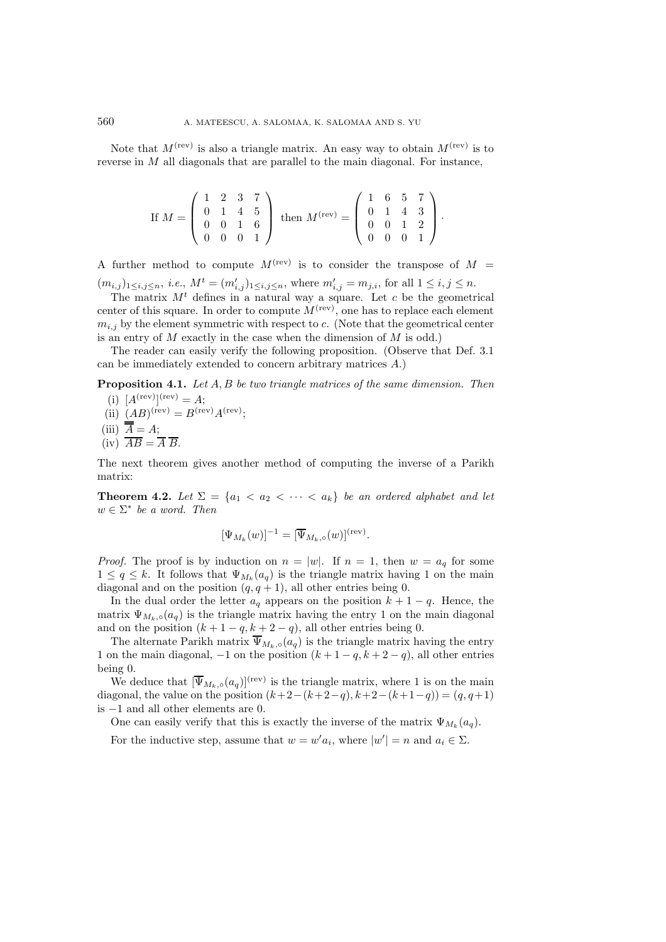Note that  $M^{(rev)}$  is also a triangle matrix. An easy way to obtain  $M^{(rev)}$  is to reverse in M all diagonals that are parallel to the main diagonal. For instance,

If 
$$
M = \begin{pmatrix} 1 & 2 & 3 & 7 \\ 0 & 1 & 4 & 5 \\ 0 & 0 & 1 & 6 \\ 0 & 0 & 0 & 1 \end{pmatrix}
$$
 then  $M^{(rev)} = \begin{pmatrix} 1 & 6 & 5 & 7 \\ 0 & 1 & 4 & 3 \\ 0 & 0 & 1 & 2 \\ 0 & 0 & 0 & 1 \end{pmatrix}$ .

A further method to compute  $M^{(rev)}$  is to consider the transpose of  $M =$  $(m_{i,j})_{1 \leq i,j \leq n}$ , *i.e.*,  $M^t = (m'_{i,j})_{1 \leq i,j \leq n}$ , where  $m'_{i,j} = m_{j,i}$ , for all  $1 \leq i,j \leq n$ .

The matrix  $M<sup>t</sup>$  defines in a natural way a square. Let c be the geometrical center of this square. In order to compute  $M<sup>(rev)</sup>$ , one has to replace each element  $m_{i,j}$  by the element symmetric with respect to  $c$ . (Note that the geometrical center is an entry of  $M$  exactly in the case when the dimension of  $M$  is odd.)

The reader can easily verify the following proposition. (Observe that Def. 3.1 can be immediately extended to concern arbitrary matrices A.)

**Proposition 4.1.** *Let* A, B *be two triangle matrices of the same dimension. Then*

- (i)  $[A^{(rev)}]^{(rev)} = A;$
- (ii)  $(AB)^{(\text{rev})} = B^{(\text{rev})}A^{(\text{rev})}$ ;
- (iii)  $A = A;$
- $(iv)$   $\overline{AB} = \overline{A} \ \overline{B}.$

The next theorem gives another method of computing the inverse of a Parikh matrix:

**Theorem 4.2.** Let  $\Sigma = \{a_1 < a_2 < \cdots < a_k\}$  be an ordered alphabet and let  $w \in \Sigma^*$  *be a word. Then* 

$$
[\Psi_{M_k}(w)]^{-1} = [\overline{\Psi}_{M_k,\circ}(w)]^{\text{(rev)}}.
$$

*Proof.* The proof is by induction on  $n = |w|$ . If  $n = 1$ , then  $w = a_q$  for some  $1 \leq q \leq k$ . It follows that  $\Psi_{M_k}(a_q)$  is the triangle matrix having 1 on the main diagonal and on the position  $(q, q + 1)$ , all other entries being 0.

In the dual order the letter  $a_q$  appears on the position  $k + 1 - q$ . Hence, the matrix  $\Psi_{M_k,\circ}(a_q)$  is the triangle matrix having the entry 1 on the main diagonal and on the position  $(k + 1 - q, k + 2 - q)$ , all other entries being 0.

The alternate Parikh matrix  $\overline{\Psi}_{M_k,\circ}(a_q)$  is the triangle matrix having the entry 1 on the main diagonal,  $-1$  on the position  $(k+1-q, k+2-q)$ , all other entries being 0.

We deduce that  $[\overline{\Psi}_{M_k,o}(a_q)]^{\text{(rev)}}$  is the triangle matrix, where 1 is on the main diagonal, the value on the position  $(k+2-(k+2-q), k+2-(k+1-q)) = (q, q+1)$ is −1 and all other elements are 0.

One can easily verify that this is exactly the inverse of the matrix  $\Psi_{M_k}(a_q)$ .

For the inductive step, assume that  $w = w' a_i$ , where  $|w'| = n$  and  $a_i \in \Sigma$ .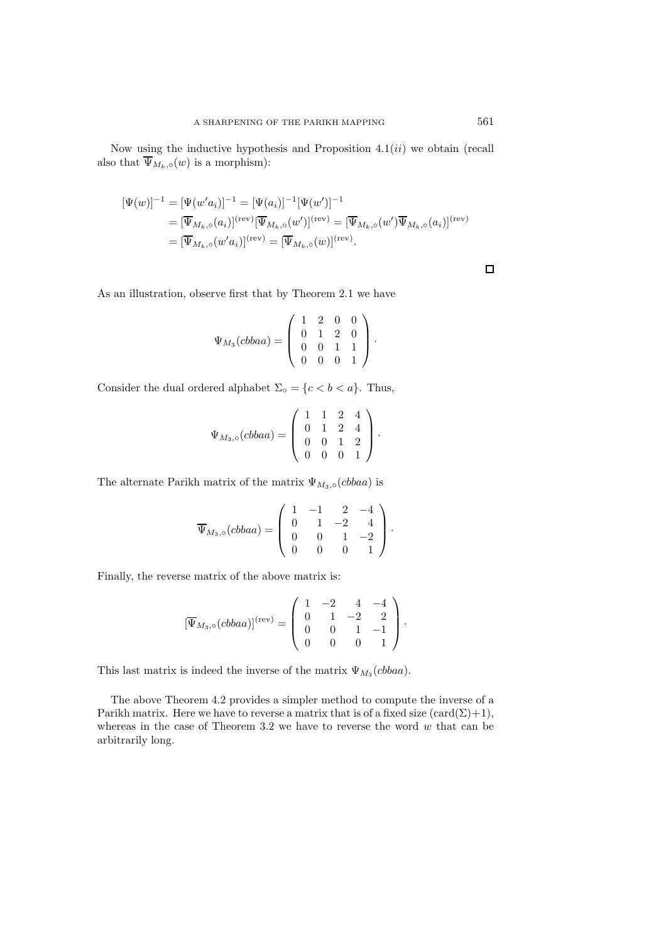Now using the inductive hypothesis and Proposition  $4.1(ii)$  we obtain (recall also that  $\overline{\Psi}_{M_k,\circ}(w)$  is a morphism):

$$
\begin{aligned} [\Psi(w)]^{-1} &= [\Psi(w'a_i)]^{-1} = [\Psi(a_i)]^{-1} [\Psi(w')]^{-1} \\ &= [\overline{\Psi}_{M_k,\circ}(a_i)]^{(\text{rev})} [\overline{\Psi}_{M_k,\circ}(w')]^{(\text{rev})} = [\overline{\Psi}_{M_k,\circ}(w')]^{\overline{\Psi}_{M_k,\circ}(a_i)]^{(\text{rev})} \\ &= [\overline{\Psi}_{M_k,\circ}(w'a_i)]^{(\text{rev})} = [\overline{\Psi}_{M_k,\circ}(w)]^{(\text{rev})} .\end{aligned}
$$

 $\Box$ 

As an illustration, observe first that by Theorem 2.1 we have

$$
\Psi_{M_3}(cbbaa) = \left(\begin{array}{rrrr} 1 & 2 & 0 & 0 \\ 0 & 1 & 2 & 0 \\ 0 & 0 & 1 & 1 \\ 0 & 0 & 0 & 1 \end{array}\right).
$$

Consider the dual ordered alphabet  $\Sigma_{\circ} = \{c < b < a\}$ . Thus,

$$
\Psi_{M_3,\circ}(cbba) = \left(\begin{array}{cccc} 1 & 1 & 2 & 4 \\ 0 & 1 & 2 & 4 \\ 0 & 0 & 1 & 2 \\ 0 & 0 & 0 & 1 \end{array}\right).
$$

The alternate Parikh matrix of the matrix  $\Psi_{M_3,\circ}(cbbaa)$  is

$$
\overline{\Psi}_{M_3,\circ}(cbbaa) = \left(\begin{array}{rrrr} 1 & -1 & 2 & -4 \\ 0 & 1 & -2 & 4 \\ 0 & 0 & 1 & -2 \\ 0 & 0 & 0 & 1 \end{array}\right).
$$

Finally, the reverse matrix of the above matrix is:

$$
[\overline{\Psi}_{M_3,\circ}(cbbaa)]^{(\text{rev})} = \begin{pmatrix} 1 & -2 & 4 & -4 \\ 0 & 1 & -2 & 2 \\ 0 & 0 & 1 & -1 \\ 0 & 0 & 0 & 1 \end{pmatrix}.
$$

This last matrix is indeed the inverse of the matrix  $\Psi_{M_3}(cbb)$ .

The above Theorem 4.2 provides a simpler method to compute the inverse of a Parikh matrix. Here we have to reverse a matrix that is of a fixed size  $(\text{card}(\Sigma)+1)$ , whereas in the case of Theorem 3.2 we have to reverse the word  $w$  that can be arbitrarily long.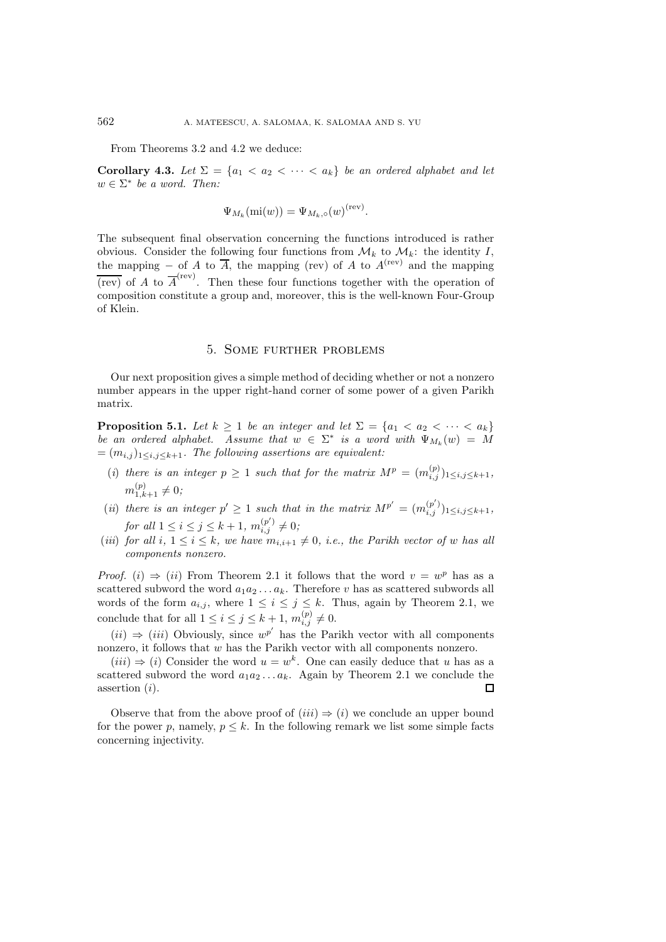From Theorems 3.2 and 4.2 we deduce:

**Corollary 4.3.** *Let*  $\Sigma = \{a_1 < a_2 < \cdots < a_k\}$  *be an ordered alphabet and let*  $w \in \Sigma^*$  *be a word. Then:* 

$$
\Psi_{M_k}(\text{mi}(w)) = \Psi_{M_k,\circ}(w)^{(\text{rev})}.
$$

The subsequent final observation concerning the functions introduced is rather obvious. Consider the following four functions from  $\mathcal{M}_k$  to  $\mathcal{M}_k$ : the identity I, the mapping – of A to  $\overline{A}$ , the mapping (rev) of A to  $A^{(rev)}$  and the mapping  $\overline{(rev)}$  of A to  $\overline{A}^{(rev)}$ . Then these four functions together with the operation of composition constitute a group and, moreover, this is the well-known Four-Group of Klein.

### 5. Some further problems

Our next proposition gives a simple method of deciding whether or not a nonzero number appears in the upper right-hand corner of some power of a given Parikh matrix.

**Proposition 5.1.** *Let*  $k \geq 1$  *be an integer and let*  $\Sigma = \{a_1 < a_2 < \cdots < a_k\}$ *be an ordered alphabet.* Assume that  $w \in \Sigma^*$  *is a word with*  $\Psi_{M_k}(w) = \tilde{M}$  $=(m_{i,j})_{1\leq i,j\leq k+1}$ *. The following assertions are equivalent:* 

- (*i*) there is an integer  $p \geq 1$  such that for the matrix  $M^p = (m_{i,j}^{(p)})_{1 \leq i,j \leq k+1}$ ,  $m_{1,k+1}^{(p)} \neq 0;$
- (*ii*) *there is an integer*  $p' \ge 1$  *such that in the matrix*  $M^{p'} = (m_{i,j}^{(p')})_{1 \le i,j \le k+1}$ , *for all*  $1 \leq i \leq j \leq k+1$ ,  $m_{i,j}^{(p')} \neq 0$ ;
- (*iii*) *for all*  $i, 1 \leq i \leq k$ *, we have*  $m_{i,i+1} \neq 0$ *, i.e., the Parikh vector of w has all components nonzero.*

*Proof.* (i)  $\Rightarrow$  (ii) From Theorem 2.1 it follows that the word  $v = w^p$  has as a scattered subword the word  $a_1a_2 \ldots a_k$ . Therefore v has as scattered subwords all words of the form  $a_{i,j}$ , where  $1 \leq i \leq j \leq k$ . Thus, again by Theorem 2.1, we conclude that for all  $1 \leq i \leq j \leq k+1$ ,  $m_{i,j}^{(p)} \neq 0$ .

 $(ii) \Rightarrow (iii)$  Obviously, since  $w^{p'}$  has the Parikh vector with all components nonzero, it follows that w has the Parikh vector with all components nonzero.

 $(iii) \Rightarrow (i)$  Consider the word  $u = w^k$ . One can easily deduce that u has as a scattered subword the word  $a_1a_2...a_k$ . Again by Theorem 2.1 we conclude the assertion (i).  $\Box$ 

Observe that from the above proof of  $(iii) \Rightarrow (i)$  we conclude an upper bound for the power p, namely,  $p \leq k$ . In the following remark we list some simple facts concerning injectivity.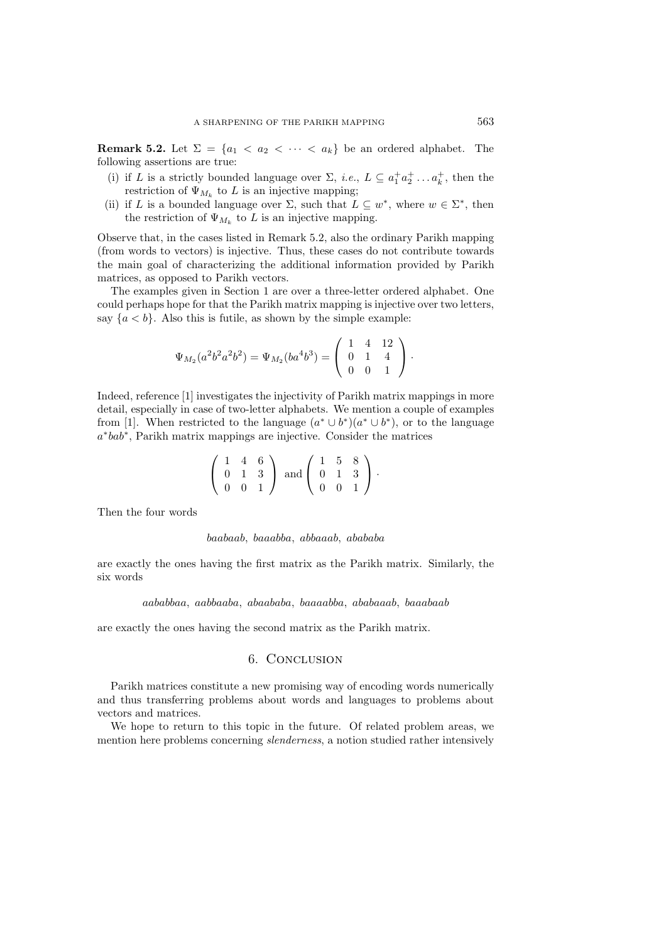**Remark 5.2.** Let  $\Sigma = \{a_1 < a_2 < \cdots < a_k\}$  be an ordered alphabet. The following assertions are true:

- (i) if L is a strictly bounded language over  $\Sigma$ , *i.e.*,  $L \subseteq a_1^+ a_2^+ \dots a_k^+$ , then the restriction of  $\Psi_{M_k}$  to L is an injective mapping;
- (ii) if L is a bounded language over  $\Sigma$ , such that  $L \subseteq w^*$ , where  $w \in \Sigma^*$ , then the restriction of  $\Psi_{M_k}$  to L is an injective mapping.

Observe that, in the cases listed in Remark 5.2, also the ordinary Parikh mapping (from words to vectors) is injective. Thus, these cases do not contribute towards the main goal of characterizing the additional information provided by Parikh matrices, as opposed to Parikh vectors.

The examples given in Section 1 are over a three-letter ordered alphabet. One could perhaps hope for that the Parikh matrix mapping is injective over two letters, say  $\{a < b\}$ . Also this is futile, as shown by the simple example:

$$
\Psi_{M_2}(a^2b^2a^2b^2) = \Psi_{M_2}(ba^4b^3) = \begin{pmatrix} 1 & 4 & 12 \\ 0 & 1 & 4 \\ 0 & 0 & 1 \end{pmatrix}.
$$

Indeed, reference [1] investigates the injectivity of Parikh matrix mappings in more detail, especially in case of two-letter alphabets. We mention a couple of examples from [1]. When restricted to the language  $(a^* \cup b^*)(a^* \cup b^*)$ , or to the language a∗bab∗, Parikh matrix mappings are injective. Consider the matrices

| $1\quad 4\quad 6$ |          |                                                              |          | $1\quad 5\quad 8$ |  |
|-------------------|----------|--------------------------------------------------------------|----------|-------------------|--|
|                   |          | $0 \quad 1 \quad 3 \quad \text{and} \quad 0 \quad 1 \quad 3$ |          |                   |  |
| $\Omega$          | $\Box$ 0 |                                                              | $\Omega$ |                   |  |

Then the four words

#### baabaab, baaabba, abbaaab, abababa

are exactly the ones having the first matrix as the Parikh matrix. Similarly, the six words

#### aababbaa, aabbaaba, abaababa, baaaabba, ababaaab, baaabaab

are exactly the ones having the second matrix as the Parikh matrix.

# 6. Conclusion

Parikh matrices constitute a new promising way of encoding words numerically and thus transferring problems about words and languages to problems about vectors and matrices.

We hope to return to this topic in the future. Of related problem areas, we mention here problems concerning *slenderness*, a notion studied rather intensively